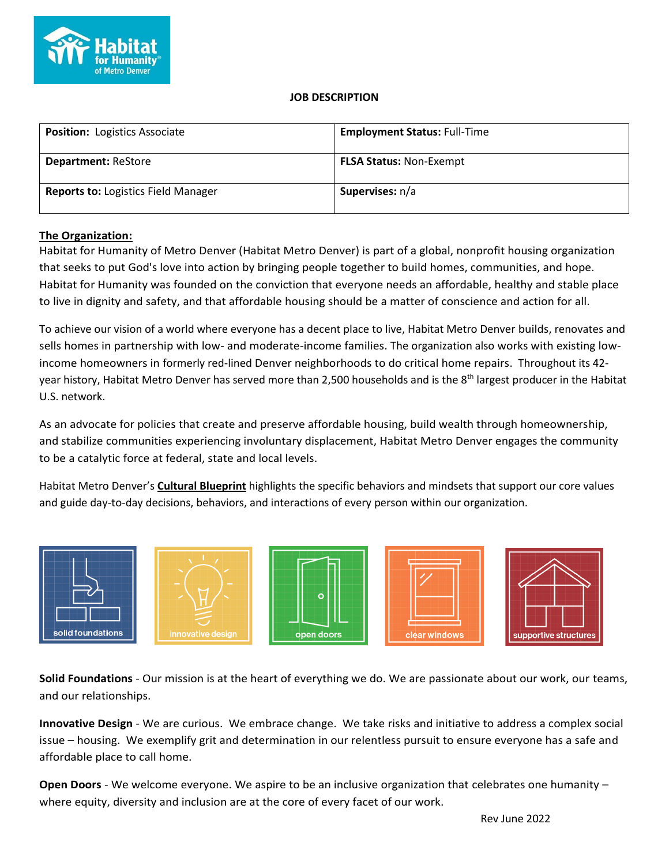

### **JOB DESCRIPTION**

| <b>Position: Logistics Associate</b>       | <b>Employment Status: Full-Time</b> |
|--------------------------------------------|-------------------------------------|
| <b>Department: ReStore</b>                 | <b>FLSA Status: Non-Exempt</b>      |
| <b>Reports to: Logistics Field Manager</b> | Supervises: n/a                     |

## **The Organization:**

Habitat for Humanity of Metro Denver (Habitat Metro Denver) is part of a global, nonprofit housing organization that seeks to put God's love into action by bringing people together to build homes, communities, and hope. Habitat for Humanity was founded on the conviction that everyone needs an affordable, healthy and stable place to live in dignity and safety, and that affordable housing should be a matter of conscience and action for all.

To achieve our vision of a world where everyone has a decent place to live, Habitat Metro Denver builds, renovates and sells homes in partnership with low- and moderate-income families. The organization also works with existing lowincome homeowners in formerly red-lined Denver neighborhoods to do critical home repairs. Throughout its 42 year history, Habitat Metro Denver has served more than 2,500 households and is the 8<sup>th</sup> largest producer in the Habitat U.S. network.

As an advocate for policies that create and preserve affordable housing, build wealth through homeownership, and stabilize communities experiencing involuntary displacement, Habitat Metro Denver engages the community to be a catalytic force at federal, state and local levels.

Habitat Metro Denver's **Cultural Blueprint** highlights the specific behaviors and mindsets that support our core values and guide day-to-day decisions, behaviors, and interactions of every person within our organization.



**Solid Foundations** - Our mission is at the heart of everything we do. We are passionate about our work, our teams, and our relationships.

**Innovative Design** - We are curious. We embrace change. We take risks and initiative to address a complex social issue – housing. We exemplify grit and determination in our relentless pursuit to ensure everyone has a safe and affordable place to call home.

**Open Doors** - We welcome everyone. We aspire to be an inclusive organization that celebrates one humanity – where equity, diversity and inclusion are at the core of every facet of our work.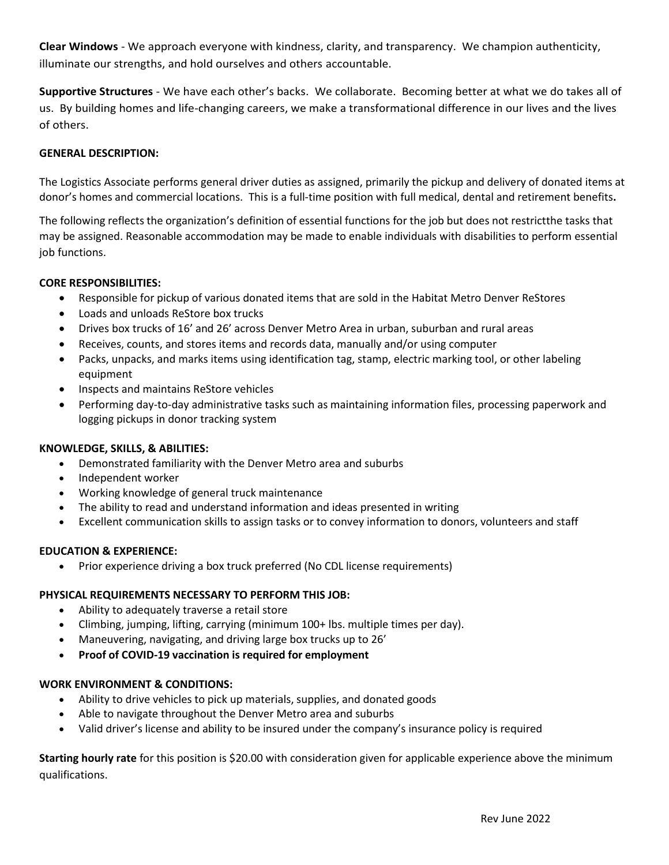**Clear Windows** - We approach everyone with kindness, clarity, and transparency. We champion authenticity, illuminate our strengths, and hold ourselves and others accountable.

**Supportive Structures** - We have each other's backs. We collaborate. Becoming better at what we do takes all of us. By building homes and life-changing careers, we make a transformational difference in our lives and the lives of others.

# **GENERAL DESCRIPTION:**

The Logistics Associate performs general driver duties as assigned, primarily the pickup and delivery of donated items at donor's homes and commercial locations. This is a full-time position with full medical, dental and retirement benefits**.**

The following reflects the organization's definition of essential functions for the job but does not restrictthe tasks that may be assigned. Reasonable accommodation may be made to enable individuals with disabilities to perform essential job functions.

## **CORE RESPONSIBILITIES:**

- Responsible for pickup of various donated items that are sold in the Habitat Metro Denver ReStores
- Loads and unloads ReStore box trucks
- Drives box trucks of 16' and 26' across Denver Metro Area in urban, suburban and rural areas
- Receives, counts, and stores items and records data, manually and/or using computer
- Packs, unpacks, and marks items using identification tag, stamp, electric marking tool, or other labeling equipment
- Inspects and maintains ReStore vehicles
- Performing day-to-day administrative tasks such as maintaining information files, processing paperwork and logging pickups in donor tracking system

## **KNOWLEDGE, SKILLS, & ABILITIES:**

- Demonstrated familiarity with the Denver Metro area and suburbs
- Independent worker
- Working knowledge of general truck maintenance
- The ability to read and understand information and ideas presented in writing
- Excellent communication skills to assign tasks or to convey information to donors, volunteers and staff

## **EDUCATION & EXPERIENCE:**

• Prior experience driving a box truck preferred (No CDL license requirements)

## **PHYSICAL REQUIREMENTS NECESSARY TO PERFORM THIS JOB:**

- Ability to adequately traverse a retail store
- Climbing, jumping, lifting, carrying (minimum 100+ lbs. multiple times per day).
- Maneuvering, navigating, and driving large box trucks up to 26'
- **Proof of COVID-19 vaccination is required for employment**

## **WORK ENVIRONMENT & CONDITIONS:**

- Ability to drive vehicles to pick up materials, supplies, and donated goods
- Able to navigate throughout the Denver Metro area and suburbs
- Valid driver's license and ability to be insured under the company's insurance policy is required

**Starting hourly rate** for this position is \$20.00 with consideration given for applicable experience above the minimum qualifications.